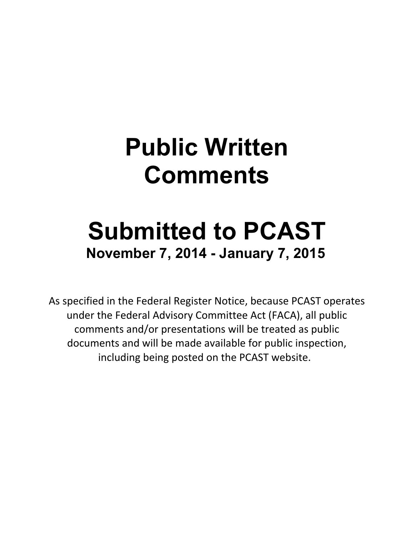## **Public Written Comments**

## **Submitted to PCAST November 7, 2014 - January 7, 2015**

As specified in the Federal Register Notice, because PCAST operates under the Federal Advisory Committee Act (FACA), all public comments and/or presentations will be treated as public documents and will be made available for public inspection, including being posted on the PCAST website.